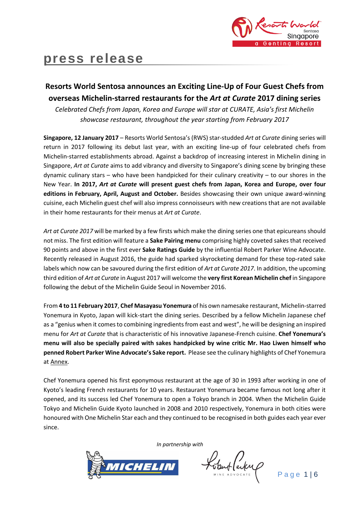

# **press release**

## **Resorts World Sentosa announces an Exciting Line-Up of Four Guest Chefs from overseas Michelin-starred restaurants for the** *Art at Curate* **2017 dining series**

*Celebrated Chefs from Japan, Korea and Europe will star at CURATE, Asia's first Michelin showcase restaurant, throughout the year starting from February 2017*

**Singapore, 12 January 2017** – Resorts World Sentosa's (RWS) star-studded *Art at Curate* dining series will return in 2017 following its debut last year, with an exciting line-up of four celebrated chefs from Michelin-starred establishments abroad. Against a backdrop of increasing interest in Michelin dining in Singapore, *Art at Curate* aims to add vibrancy and diversity to Singapore's dining scene by bringing these dynamic culinary stars – who have been handpicked for their culinary creativity – to our shores in the New Year. **In 2017,** *Art at Curate* **will present guest chefs from Japan, Korea and Europe, over four editions in February, April, August and October.** Besides showcasing their own unique award-winning cuisine, each Michelin guest chef will also impress connoisseurs with new creations that are not available in their home restaurants for their menus at *Art at Curate*.

*Art at Curate 2017* will be marked by a few firsts which make the dining series one that epicureans should not miss. The first edition will feature a **Sake Pairing menu** comprising highly coveted sakes that received 90 points and above in the first ever **Sake Ratings Guide** by the influential Robert Parker Wine Advocate. Recently released in August 2016, the guide had sparked skyrocketing demand for these top-rated sake labels which now can be savoured during the first edition of *Art at Curate 2017*. In addition, the upcoming third edition of *Art at Curate* in August 2017 will welcome the **very first Korean Michelin chef** in Singapore following the debut of the Michelin Guide Seoul in November 2016.

From **4 to 11 February 2017**, **Chef Masayasu Yonemura** of his own namesake restaurant, Michelin-starred Yonemura in Kyoto, Japan will kick-start the dining series. Described by a fellow Michelin Japanese chef as a "genius when it comes to combining ingredients from east and west", he will be designing an inspired menu for *Art at Curate* that is characteristic of his innovative Japanese-French cuisine. **Chef Yonemura's menu will also be specially paired with sakes handpicked by wine critic Mr. Hao Liwen himself who penned Robert Parker Wine Advocate's Sake report.** Please see the culinary highlights of Chef Yonemura at Annex.

Chef Yonemura opened his first eponymous restaurant at the age of 30 in 1993 after working in one of Kyoto's leading French restaurants for 10 years. Restaurant Yonemura became famous not long after it opened, and its success led Chef Yonemura to open a Tokyo branch in 2004. When the Michelin Guide Tokyo and Michelin Guide Kyoto launched in 2008 and 2010 respectively, Yonemura in both cities were honoured with One Michelin Star each and they continued to be recognised in both guides each year ever since.

*In partnership with*



Ventlanty

Page 1|6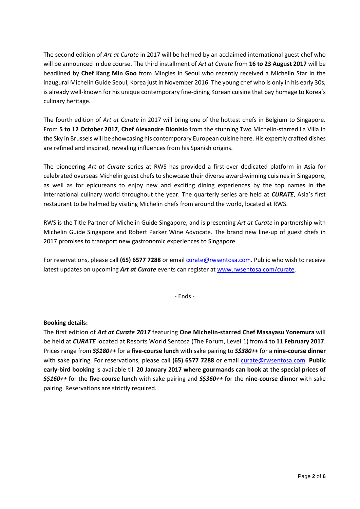The second edition of *Art at Curate* in 2017 will be helmed by an acclaimed international guest chef who will be announced in due course. The third installment of *Art at Curate* from **16 to 23 August 2017** will be headlined by **Chef Kang Min Goo** from Mingles in Seoul who recently received a Michelin Star in the inaugural Michelin Guide Seoul, Korea just in November 2016. The young chef who is only in his early 30s, is already well-known for his unique contemporary fine-dining Korean cuisine that pay homage to Korea's culinary heritage.

The fourth edition of *Art at Curate* in 2017 will bring one of the hottest chefs in Belgium to Singapore. From **5 to 12 October 2017**, **Chef Alexandre Dionisio** from the stunning Two Michelin-starred La Villa in the Sky in Brussels will be showcasing his contemporary European cuisine here. His expertly crafted dishes are refined and inspired, revealing influences from his Spanish origins.

The pioneering *Art at Curate* series at RWS has provided a first-ever dedicated platform in Asia for celebrated overseas Michelin guest chefs to showcase their diverse award-winning cuisines in Singapore, as well as for epicureans to enjoy new and exciting dining experiences by the top names in the international culinary world throughout the year. The quarterly series are held at *CURATE*, Asia's first restaurant to be helmed by visiting Michelin chefs from around the world, located at RWS.

RWS is the Title Partner of Michelin Guide Singapore, and is presenting *Art at Curate* in partnership with Michelin Guide Singapore and Robert Parker Wine Advocate. The brand new line-up of guest chefs in 2017 promises to transport new gastronomic experiences to Singapore.

For reservations, please call **(65) 6577 7288** or email [curate@rwsentosa.com.](mailto:curate@rwsentosa.com) Public who wish to receive latest updates on upcoming *Art at Curate* events can register at [www.rwsentosa.com/curate.](http://www.rwsentosa.com/curate)

- Ends -

## **Booking details:**

The first edition of *Art at Curate 2017* featuring **One Michelin-starred Chef Masayasu Yonemura** will be held at *CURATE* located at Resorts World Sentosa (The Forum, Level 1) from **4 to 11 February 2017**. Prices range from *S\$180++* for a **five-course lunch** with sake pairing to *S\$380++* for a **nine-course dinner**  with sake pairing. For reservations, please call **(65) 6577 7288** or email [curate@rwsentosa.com.](mailto:curate@rwsentosa.com) **Public early-bird booking** is available till **20 January 2017 where gourmands can book at the special prices of**  *S\$160++* for the **five-course lunch** with sake pairing and *S\$360++* for the **nine-course dinner** with sake pairing. Reservations are strictly required.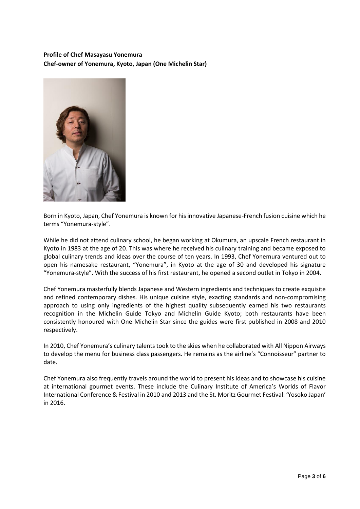## **Profile of Chef Masayasu Yonemura Chef-owner of Yonemura, Kyoto, Japan (One Michelin Star)**



Born in Kyoto, Japan, Chef Yonemura is known for his innovative Japanese-French fusion cuisine which he terms "Yonemura-style".

While he did not attend culinary school, he began working at Okumura, an upscale French restaurant in Kyoto in 1983 at the age of 20. This was where he received his culinary training and became exposed to global culinary trends and ideas over the course of ten years. In 1993, Chef Yonemura ventured out to open his namesake restaurant, "Yonemura", in Kyoto at the age of 30 and developed his signature "Yonemura-style". With the success of his first restaurant, he opened a second outlet in Tokyo in 2004.

Chef Yonemura masterfully blends Japanese and Western ingredients and techniques to create exquisite and refined contemporary dishes. His unique cuisine style, exacting standards and non-compromising approach to using only ingredients of the highest quality subsequently earned his two restaurants recognition in the Michelin Guide Tokyo and Michelin Guide Kyoto; both restaurants have been consistently honoured with One Michelin Star since the guides were first published in 2008 and 2010 respectively.

In 2010, Chef Yonemura's culinary talents took to the skies when he collaborated with All Nippon Airways to develop the menu for business class passengers. He remains as the airline's "Connoisseur" partner to date.

Chef Yonemura also frequently travels around the world to present his ideas and to showcase his cuisine at international gourmet events. These include the Culinary Institute of America's Worlds of Flavor International Conference & Festival in 2010 and 2013 and the St. Moritz Gourmet Festival: 'Yosoko Japan' in 2016.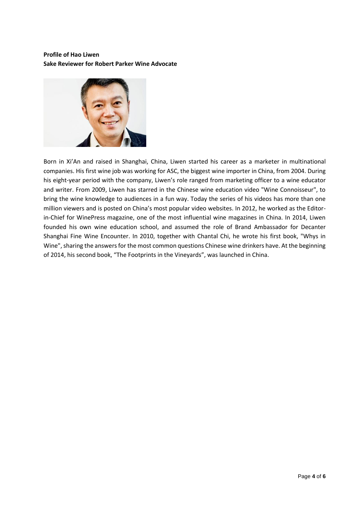## **Profile of Hao Liwen Sake Reviewer for Robert Parker Wine Advocate**



Born in Xi'An and raised in Shanghai, China, Liwen started his career as a marketer in multinational companies. His first wine job was working for ASC, the biggest wine importer in China, from 2004. During his eight-year period with the company, Liwen's role ranged from marketing officer to a wine educator and writer. From 2009, Liwen has starred in the Chinese wine education video "Wine Connoisseur", to bring the wine knowledge to audiences in a fun way. Today the series of his videos has more than one million viewers and is posted on China's most popular video websites. In 2012, he worked as the Editorin-Chief for WinePress magazine, one of the most influential wine magazines in China. In 2014, Liwen founded his own wine education school, and assumed the role of Brand Ambassador for Decanter Shanghai Fine Wine Encounter. In 2010, together with Chantal Chi, he wrote his first book, "Whys in Wine", sharing the answers for the most common questions Chinese wine drinkers have. At the beginning of 2014, his second book, "The Footprints in the Vineyards", was launched in China.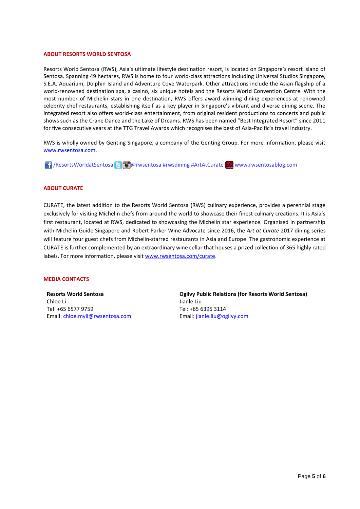#### **ABOUT RESORTS WORLD SENTOSA**

Resorts World Sentosa (RWS), Asia's ultimate lifestyle destination resort, is located on Singapore's resort island of Sentosa. Spanning 49 hectares, RWS is home to four world-class attractions including Universal Studios Singapore, S.E.A. Aquarium, Dolphin Island and Adventure Cove Waterpark. Other attractions include the Asian flagship of a world-renowned destination spa, a casino, six unique hotels and the Resorts World Convention Centre. With the most number of Michelin stars in one destination, RWS offers award-winning dining experiences at renowned celebrity chef restaurants, establishing itself as a key player in Singapore's vibrant and diverse dining scene. The integrated resort also offers world-class entertainment, from original resident productions to concerts and public shows such as the Crane Dance and the Lake of Dreams. RWS has been named "Best Integrated Resort" since 2011 for five consecutive years at the TTG Travel Awards which recognises the best of Asia-Pacific's travel industry.

RWS is wholly owned by Genting Singapore, a company of the Genting Group. For more information, please visit [www.rwsentosa.com.](http://www.rwsentosa.com/)

**16** / ResortsWorldatSentosa **@** @ rwsentosa #rwsdining #ArtAtCurate www.rwsentosablog.com

#### **ABOUT CURATE**

CURATE, the latest addition to the Resorts World Sentosa (RWS) culinary experience, provides a perennial stage exclusively for visiting Michelin chefs from around the world to showcase their finest culinary creations. It is Asia's first restaurant, located at RWS, dedicated to showcasing the Michelin star experience. Organised in partnership with Michelin Guide Singapore and Robert Parker Wine Advocate since 2016, the *Art at Curate* 2017 dining series will feature four guest chefs from Michelin-starred restaurants in Asia and Europe. The gastronomic experience at CURATE is further complemented by an extraordinary wine cellar that houses a prized collection of 365 highly rated labels. For more information, please visit [www.rwsentosa.com/curate.](http://www.rwsentosa.com/curate)

#### **MEDIA CONTACTS**

**Resorts World Sentosa** Chloe Li Tel: +65 6577 9759 Email[: chloe.myli@rwsentosa.com](mailto:chloe.myli@rwsentosa.com) **Ogilvy Public Relations (for Resorts World Sentosa)**  Jianle Liu Tel: +65 6395 3114 Email: [jianle.liu@ogilvy.com](mailto:jianle.liu@ogilvy.com)